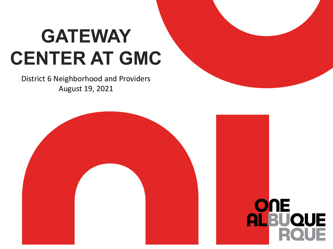#### **GATEWAY CENTER AT GMC**

District 6 Neighborhood and Providers August 19, 2021



ONE

**ALBUQUE**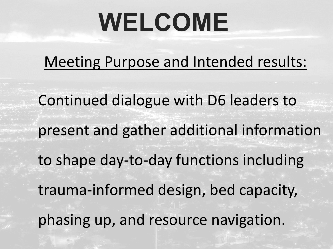## **WELCOME**

Meeting Purpose and Intended results:

Continued dialogue with D6 leaders to present and gather additional information to shape day-to-day functions including trauma-informed design, bed capacity, phasing up, and resource navigation.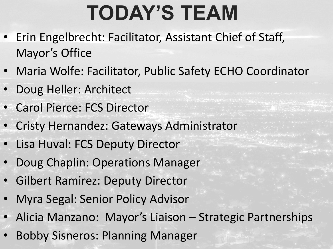#### **TODAY'S TEAM**

- Erin Engelbrecht: Facilitator, Assistant Chief of Staff, Mayor's Office
- Maria Wolfe: Facilitator, Public Safety ECHO Coordinator
- Doug Heller: Architect
- Carol Pierce: FCS Director
- Cristy Hernandez: Gateways Administrator
- Lisa Huval: FCS Deputy Director
- Doug Chaplin: Operations Manager
- Gilbert Ramirez: Deputy Director
- Myra Segal: Senior Policy Advisor
- Alicia Manzano: Mayor's Liaison Strategic Partnerships
- Bobby Sisneros: Planning Manager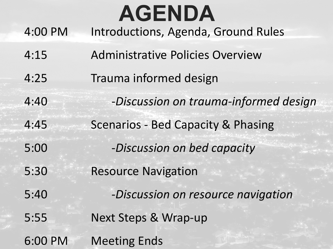#### **AGENDA**

- 4:00 PM Introductions, Agenda, Ground Rules
- 4:15 Administrative Policies Overview
- 4:25 Trauma informed design
- 4:40 -*Discussion on trauma-informed design*
- 4:45 Scenarios Bed Capacity & Phasing
- 5:00 -*Discussion on bed capacity*
- 5:30 Resource Navigation
- 5:40 -*Discussion on resource navigation*
- 5:55 Next Steps & Wrap-up
- 6:00 PM Meeting Ends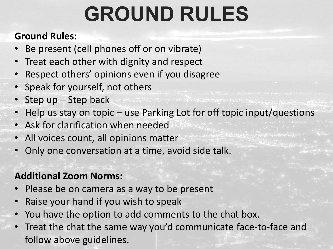#### **GROUND RULES**

#### **Ground Rules:**

- Be present (cell phones off or on vibrate)
- Treat each other with dignity and respect
- Respect others' opinions even if you disagree
- Speak for yourself, not others
- Step up Step back
- Help us stay on topic use Parking Lot for off topic input/questions
- Ask for clarification when needed
- All voices count, all opinions matter
- Only one conversation at a time, avoid side talk.

#### **Additional Zoom Norms:**

- Please be on camera as a way to be present
- Raise your hand if you wish to speak
- You have the option to add comments to the chat box.
- Treat the chat the same way you'd communicate face-to-face and follow above guidelines.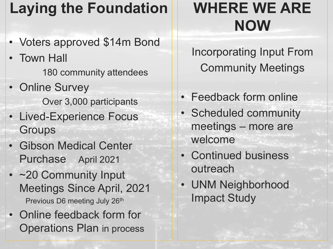#### **Laying the Foundation**

- Voters approved \$14m Bond
- Town Hall 180 community attendees
- Online Survey Over 3,000 participants
- Lived-Experience Focus **Groups**
- Gibson Medical Center Purchase April 2021
- ~20 Community Input Meetings Since April, 2021 Previous D6 meeting July 26<sup>th</sup>
- Online feedback form for Operations Plan in process

#### **WHERE WE ARE NOW**

Incorporating Input From Community Meetings

- Feedback form online
- Scheduled community meetings – more are welcome
- Continued business outreach
- UNM Neighborhood Impact Study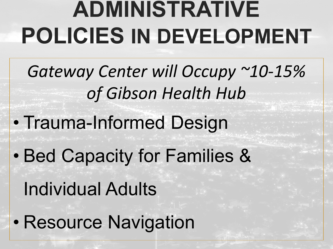### **ADMINISTRATIVE POLICIES IN DEVELOPMENT**

- *Gateway Center will Occupy ~10-15% of Gibson Health Hub*
- Trauma-Informed Design
- Bed Capacity for Families &
	- Individual Adults
- Resource Navigation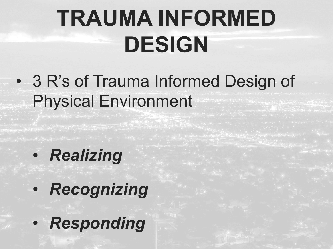### **TRAUMA INFORMED DESIGN**

• 3 R's of Trauma Informed Design of Physical Environment

- *Realizing*
- *Recognizing*
- *Responding*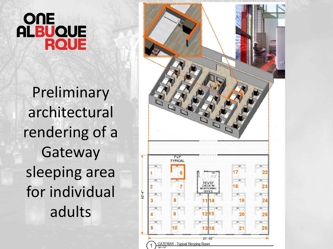#### OUE **ALBUQUE ROUE**

Preliminary architectural rendering of a Gateway sleeping area for individual adults

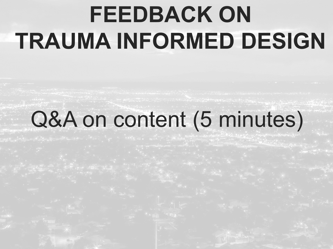### **FEEDBACK ON TRAUMA INFORMED DESIGN**

#### Q&A on content (5 minutes)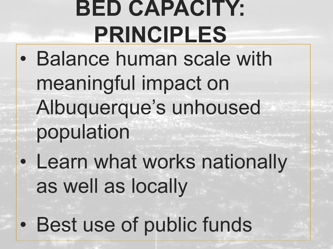### **BED CAPACITY: PRINCIPLES**

- Balance human scale with meaningful impact on Albuquerque's unhoused population
- Learn what works nationally as well as locally
- Best use of public funds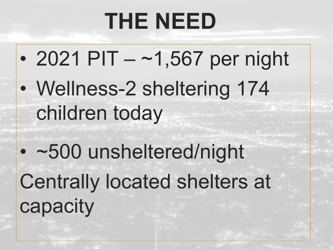#### **THE NEED**

- 2021 PIT ~1,567 per night
- Wellness-2 sheltering 174 children today
- ~500 unsheltered/night Centrally located shelters at capacity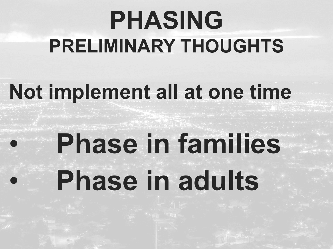### **PHASING PRELIMINARY THOUGHTS**

#### **Not implement all at one time**

# • **Phase in families** • **Phase in adults**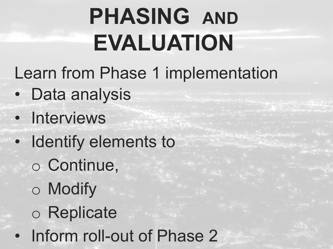### **PHASING AND EVALUATION**

Learn from Phase 1 implementation

- Data analysis
- Interviews
- Identify elements to
	- o Continue,
	- o Modify
	- o Replicate
- Inform roll-out of Phase 2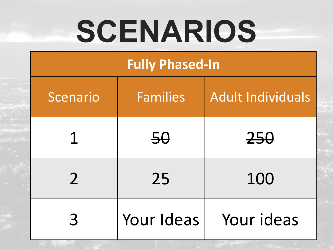# **SCENARIOS**

#### **Fully Phased-In**

| Scenario      | <b>Families</b> | <b>Adult Individuals</b> |
|---------------|-----------------|--------------------------|
| 1             | 50              | 250                      |
| $\mathcal{P}$ | 25              | 100                      |
| 3             | Your Ideas      | Your ideas               |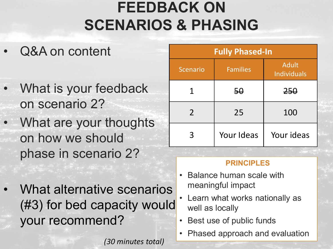#### **FEEDBACK ON SCENARIOS & PHASING**

- Q&A on content
- What is your feedback on scenario 2?
- What are your thoughts on how we should phase in scenario 2?
	- What alternative scenarios (#3) for bed capacity would your recommend?

*(30 minutes total)*

| <b>Fully Phased-In</b> |                 |                                    |
|------------------------|-----------------|------------------------------------|
| <b>Scenario</b>        | <b>Families</b> | <b>Adult</b><br><b>Individuals</b> |
|                        | <del>50</del>   | 250                                |
| $\mathcal{P}$          | 25              | 100                                |
| 3                      | Your Ideas      | Your ideas                         |

#### **PRINCIPLES**

- Balance human scale with meaningful impact
- Learn what works nationally as well as locally
- Best use of public funds
- Phased approach and evaluation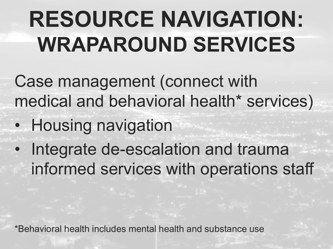### **RESOURCE NAVIGATION: WRAPAROUND SERVICES**

Case management (connect with medical and behavioral health\* services)

- Housing navigation
- Integrate de-escalation and trauma informed services with operations staff

\*Behavioral health includes mental health and substance use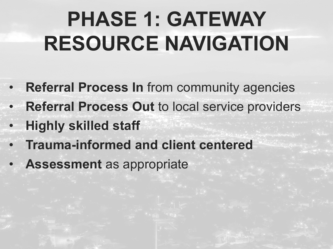#### **PHASE 1: GATEWAY RESOURCE NAVIGATION**

- **Referral Process In** from community agencies
- **Referral Process Out** to local service providers
- **Highly skilled staff**
- **Trauma-informed and client centered**
- **Assessment** as appropriate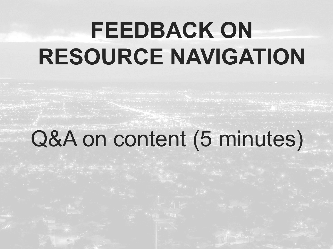### **FEEDBACK ON RESOURCE NAVIGATION**

#### Q&A on content (5 minutes)